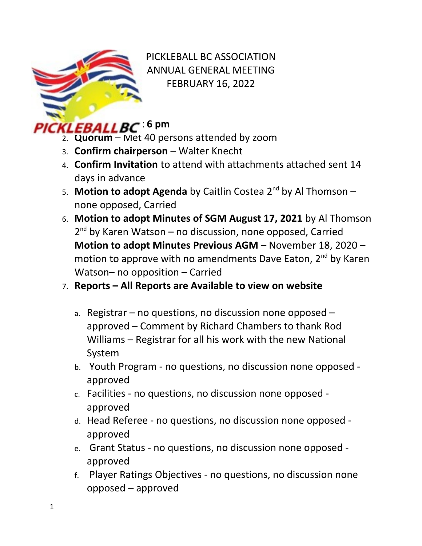

PICKLEBALL BC ASSOCIATION ANNUAL GENERAL MEETING FEBRUARY 16, 2022

## 1. **Call to Order at 6 pm**

- 2. **Quorum** Met 40 persons attended by zoom
- 3. **Confirm chairperson**  Walter Knecht
- 4. **Confirm Invitation** to attend with attachments attached sent 14 days in advance
- 5. **Motion to adopt Agenda** by Caitlin Costea 2nd by Al Thomson none opposed, Carried
- 6. **Motion to adopt Minutes of SGM August 17, 2021** by Al Thomson 2<sup>nd</sup> by Karen Watson - no discussion, none opposed, Carried **Motion to adopt Minutes Previous AGM** – November 18, 2020 – motion to approve with no amendments Dave Eaton, 2<sup>nd</sup> by Karen Watson– no opposition – Carried

## 7. **Reports – All Reports are Available to view on website**

- a. Registrar no questions, no discussion none opposed approved – Comment by Richard Chambers to thank Rod Williams – Registrar for all his work with the new National System
- b. Youth Program no questions, no discussion none opposed approved
- c. Facilities no questions, no discussion none opposed approved
- d. Head Referee no questions, no discussion none opposed approved
- e. Grant Status no questions, no discussion none opposed approved
- f. Player Ratings Objectives no questions, no discussion none opposed – approved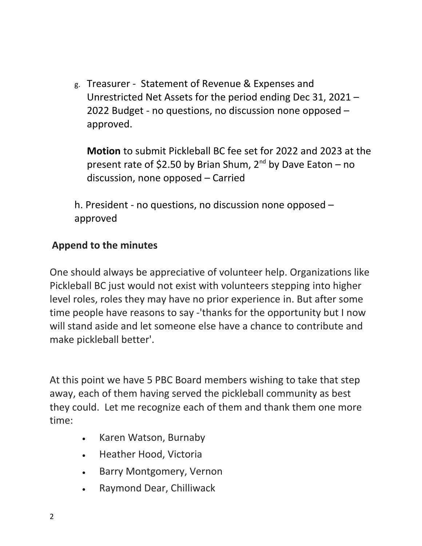g. Treasurer - Statement of Revenue & Expenses and Unrestricted Net Assets for the period ending Dec 31, 2021 – 2022 Budget - no questions, no discussion none opposed – approved.

**Motion** to submit Pickleball BC fee set for 2022 and 2023 at the present rate of \$2.50 by Brian Shum,  $2^{nd}$  by Dave Eaton – no discussion, none opposed – Carried

h. President - no questions, no discussion none opposed – approved

## **Append to the minutes**

One should always be appreciative of volunteer help. Organizations like Pickleball BC just would not exist with volunteers stepping into higher level roles, roles they may have no prior experience in. But after some time people have reasons to say -'thanks for the opportunity but I now will stand aside and let someone else have a chance to contribute and make pickleball better'.

At this point we have 5 PBC Board members wishing to take that step away, each of them having served the pickleball community as best they could. Let me recognize each of them and thank them one more time:

- Karen Watson, Burnaby
- Heather Hood, Victoria
- Barry Montgomery, Vernon
- Raymond Dear, Chilliwack